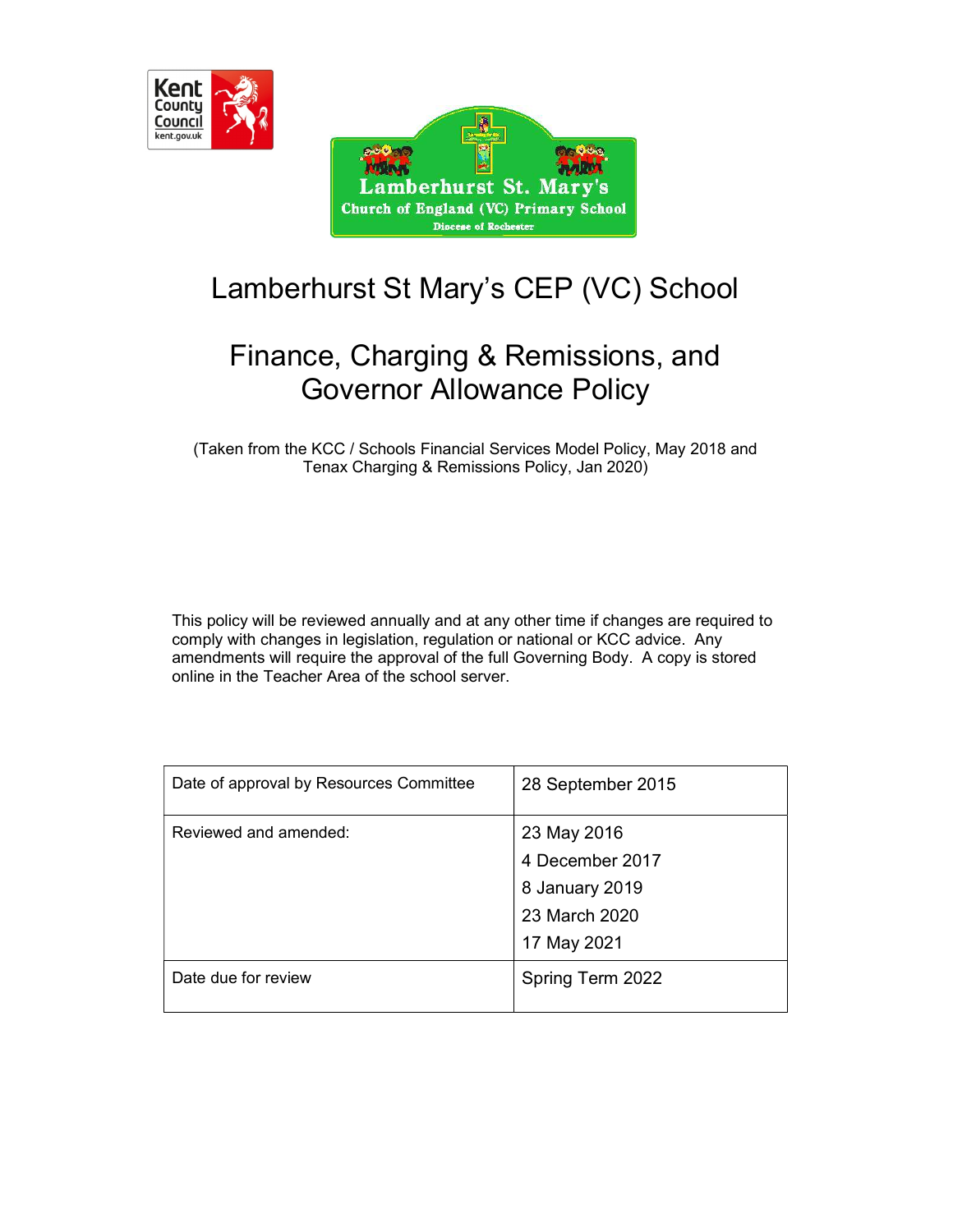

with amberhurst St. Mary's Church of England (VC) Primary School **Diocese of Rochester** 

 $0.060$ 

# Lamberhurst St Mary's CEP (VC) School

## Finance, Charging & Remissions, and Governor Allowance Policy

(Taken from the KCC / Schools Financial Services Model Policy, May 2018 and Tenax Charging & Remissions Policy, Jan 2020)

This policy will be reviewed annually and at any other time if changes are required to comply with changes in legislation, regulation or national or KCC advice. Any amendments will require the approval of the full Governing Body. A copy is stored online in the Teacher Area of the school server.

| Date of approval by Resources Committee | 28 September 2015 |
|-----------------------------------------|-------------------|
| Reviewed and amended:                   | 23 May 2016       |
|                                         | 4 December 2017   |
|                                         | 8 January 2019    |
|                                         | 23 March 2020     |
|                                         | 17 May 2021       |
| Date due for review                     | Spring Term 2022  |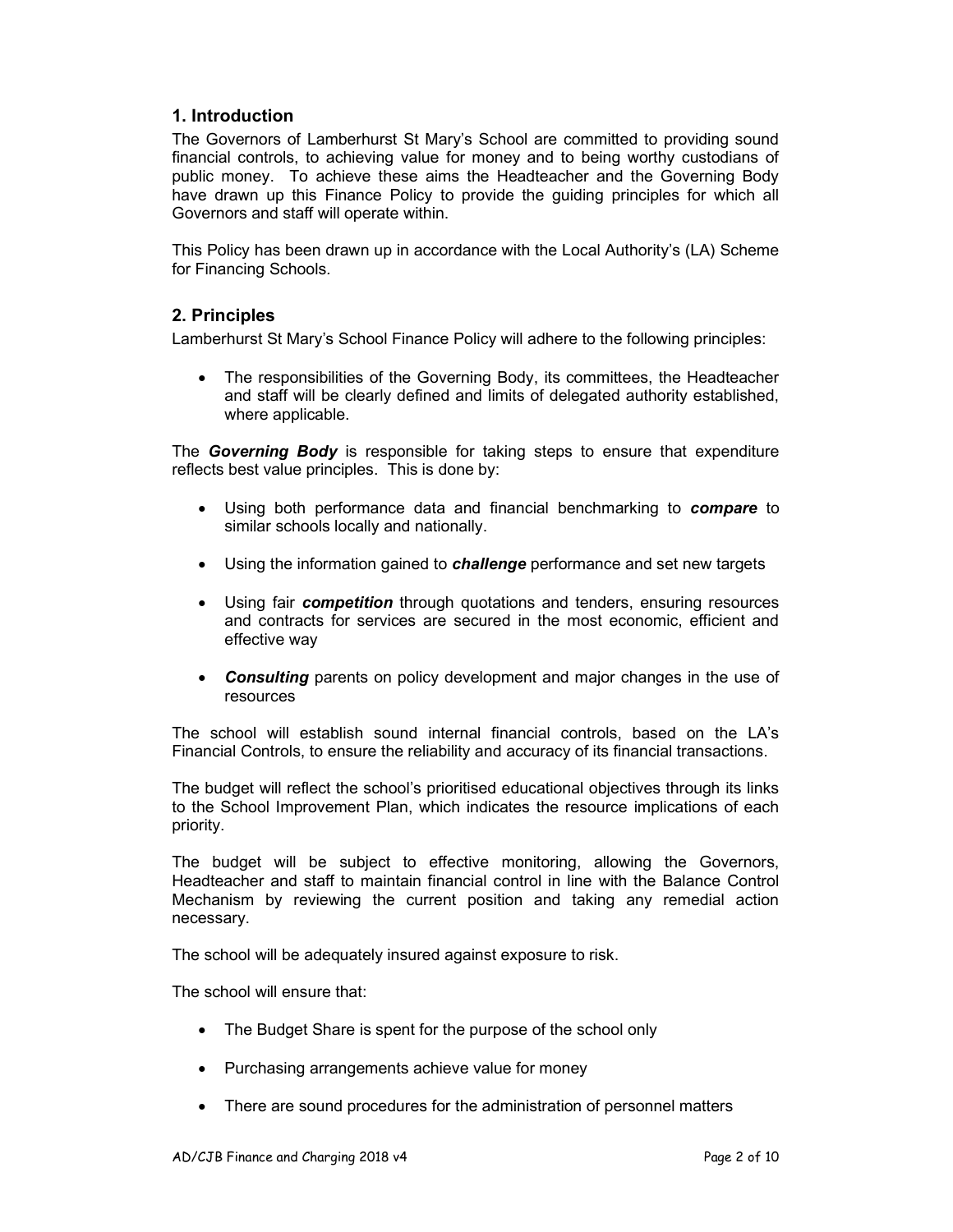#### 1. Introduction

The Governors of Lamberhurst St Mary's School are committed to providing sound financial controls, to achieving value for money and to being worthy custodians of public money. To achieve these aims the Headteacher and the Governing Body have drawn up this Finance Policy to provide the guiding principles for which all Governors and staff will operate within.

This Policy has been drawn up in accordance with the Local Authority's (LA) Scheme for Financing Schools.

#### 2. Principles

Lamberhurst St Mary's School Finance Policy will adhere to the following principles:

 The responsibilities of the Governing Body, its committees, the Headteacher and staff will be clearly defined and limits of delegated authority established, where applicable.

The **Governing Body** is responsible for taking steps to ensure that expenditure reflects best value principles. This is done by:

- Using both performance data and financial benchmarking to **compare** to similar schools locally and nationally.
- Using the information gained to *challenge* performance and set new targets
- Using fair *competition* through quotations and tenders, ensuring resources and contracts for services are secured in the most economic, efficient and effective way
- Consulting parents on policy development and major changes in the use of resources

The school will establish sound internal financial controls, based on the LA's Financial Controls, to ensure the reliability and accuracy of its financial transactions.

The budget will reflect the school's prioritised educational objectives through its links to the School Improvement Plan, which indicates the resource implications of each priority.

The budget will be subject to effective monitoring, allowing the Governors, Headteacher and staff to maintain financial control in line with the Balance Control Mechanism by reviewing the current position and taking any remedial action necessary.

The school will be adequately insured against exposure to risk.

The school will ensure that:

- The Budget Share is spent for the purpose of the school only
- Purchasing arrangements achieve value for money
- There are sound procedures for the administration of personnel matters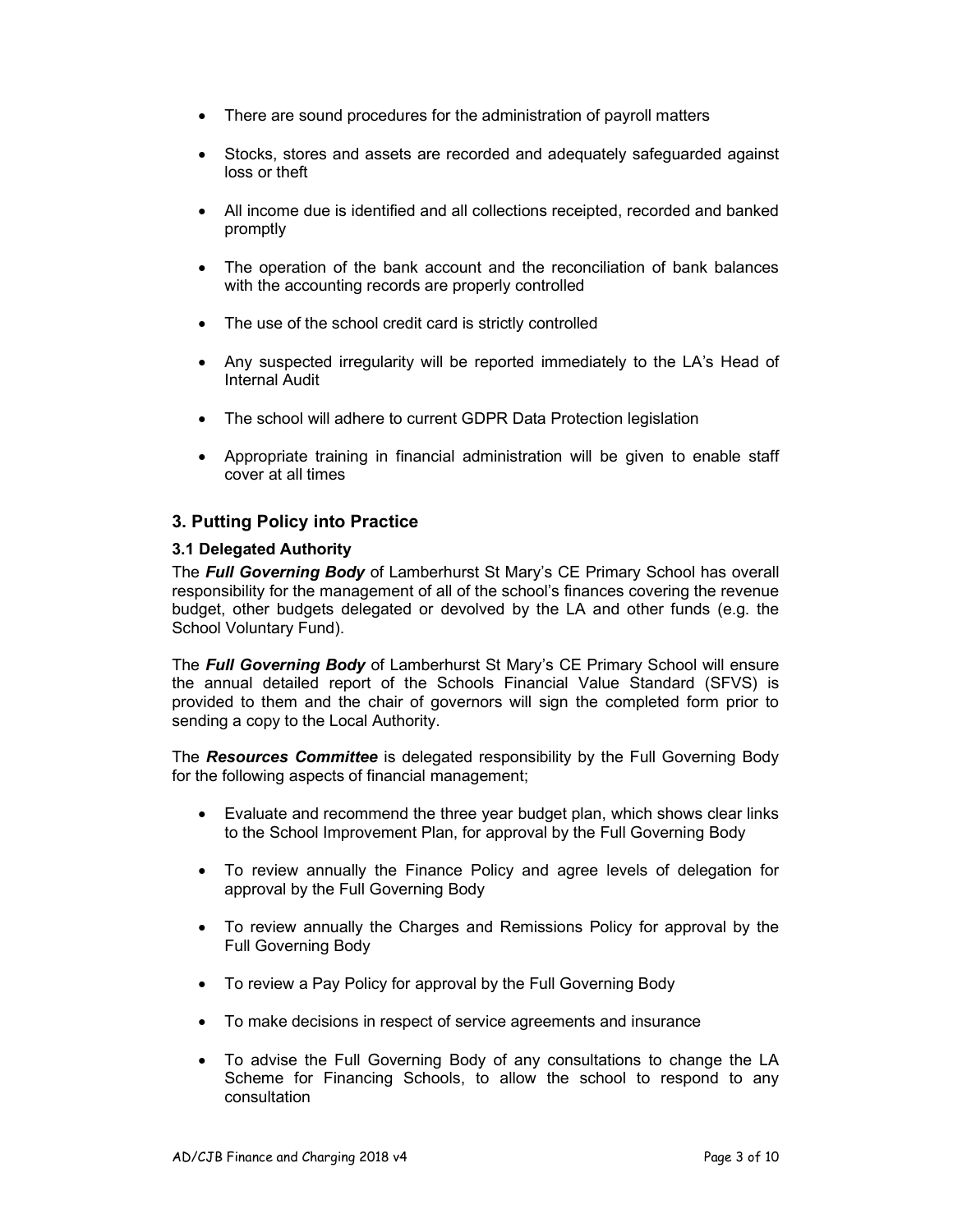- There are sound procedures for the administration of payroll matters
- Stocks, stores and assets are recorded and adequately safeguarded against loss or theft
- All income due is identified and all collections receipted, recorded and banked promptly
- The operation of the bank account and the reconciliation of bank balances with the accounting records are properly controlled
- The use of the school credit card is strictly controlled
- Any suspected irregularity will be reported immediately to the LA's Head of Internal Audit
- The school will adhere to current GDPR Data Protection legislation
- Appropriate training in financial administration will be given to enable staff cover at all times

#### 3. Putting Policy into Practice

#### 3.1 Delegated Authority

The Full Governing Body of Lamberhurst St Mary's CE Primary School has overall responsibility for the management of all of the school's finances covering the revenue budget, other budgets delegated or devolved by the LA and other funds (e.g. the School Voluntary Fund).

The **Full Governing Body** of Lamberhurst St Mary's CE Primary School will ensure the annual detailed report of the Schools Financial Value Standard (SFVS) is provided to them and the chair of governors will sign the completed form prior to sending a copy to the Local Authority.

The Resources Committee is delegated responsibility by the Full Governing Body for the following aspects of financial management;

- Evaluate and recommend the three year budget plan, which shows clear links to the School Improvement Plan, for approval by the Full Governing Body
- To review annually the Finance Policy and agree levels of delegation for approval by the Full Governing Body
- To review annually the Charges and Remissions Policy for approval by the Full Governing Body
- To review a Pay Policy for approval by the Full Governing Body
- To make decisions in respect of service agreements and insurance
- To advise the Full Governing Body of any consultations to change the LA Scheme for Financing Schools, to allow the school to respond to any consultation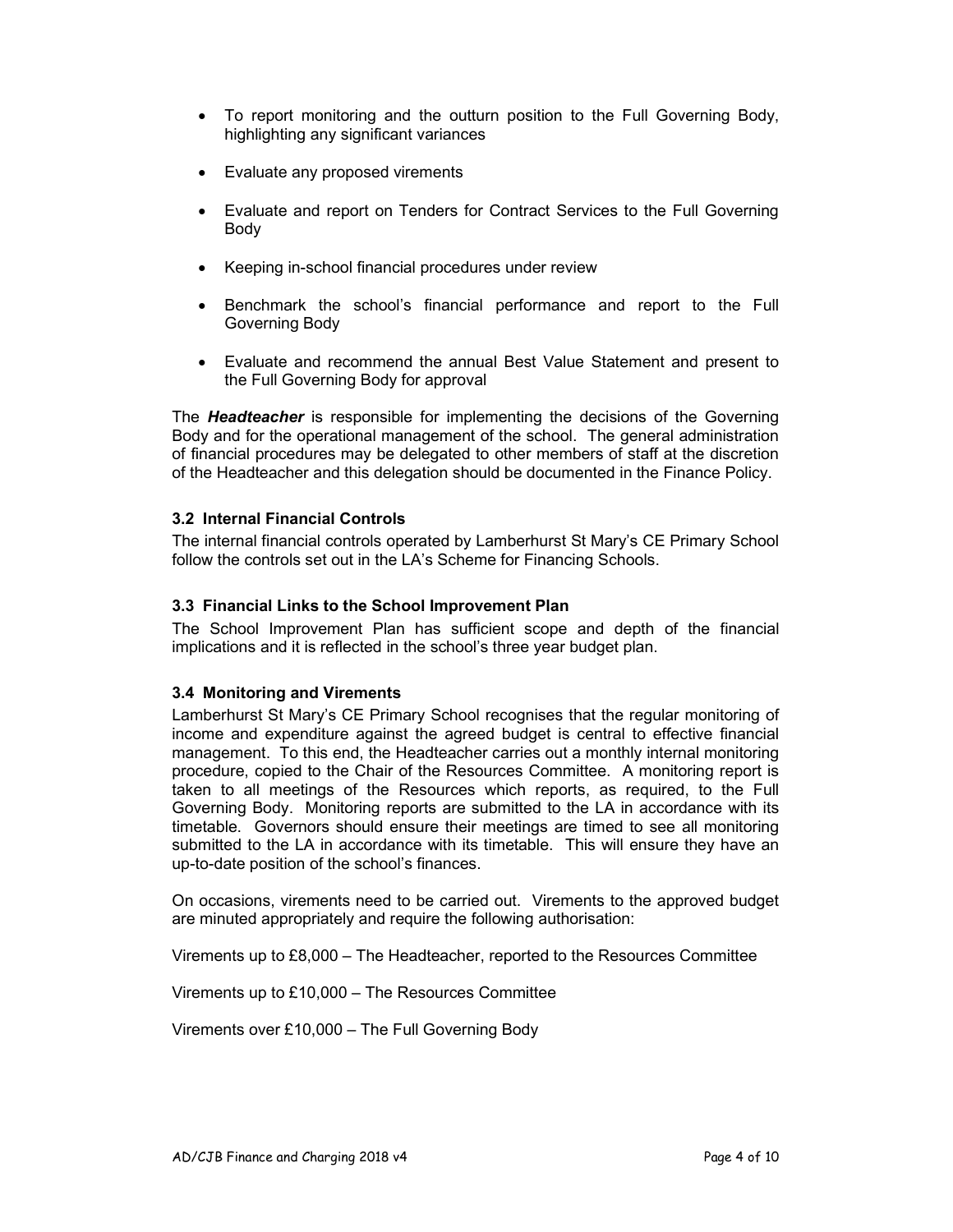- To report monitoring and the outturn position to the Full Governing Body, highlighting any significant variances
- Evaluate any proposed virements
- Evaluate and report on Tenders for Contract Services to the Full Governing Body
- Keeping in-school financial procedures under review
- Benchmark the school's financial performance and report to the Full Governing Body
- Evaluate and recommend the annual Best Value Statement and present to the Full Governing Body for approval

The **Headteacher** is responsible for implementing the decisions of the Governing Body and for the operational management of the school. The general administration of financial procedures may be delegated to other members of staff at the discretion of the Headteacher and this delegation should be documented in the Finance Policy.

#### 3.2 Internal Financial Controls

The internal financial controls operated by Lamberhurst St Mary's CE Primary School follow the controls set out in the LA's Scheme for Financing Schools.

#### 3.3 Financial Links to the School Improvement Plan

The School Improvement Plan has sufficient scope and depth of the financial implications and it is reflected in the school's three year budget plan.

#### 3.4 Monitoring and Virements

Lamberhurst St Mary's CE Primary School recognises that the regular monitoring of income and expenditure against the agreed budget is central to effective financial management. To this end, the Headteacher carries out a monthly internal monitoring procedure, copied to the Chair of the Resources Committee. A monitoring report is taken to all meetings of the Resources which reports, as required, to the Full Governing Body. Monitoring reports are submitted to the LA in accordance with its timetable. Governors should ensure their meetings are timed to see all monitoring submitted to the LA in accordance with its timetable. This will ensure they have an up-to-date position of the school's finances.

On occasions, virements need to be carried out. Virements to the approved budget are minuted appropriately and require the following authorisation:

Virements up to £8,000 – The Headteacher, reported to the Resources Committee

Virements up to £10,000 – The Resources Committee

Virements over £10,000 – The Full Governing Body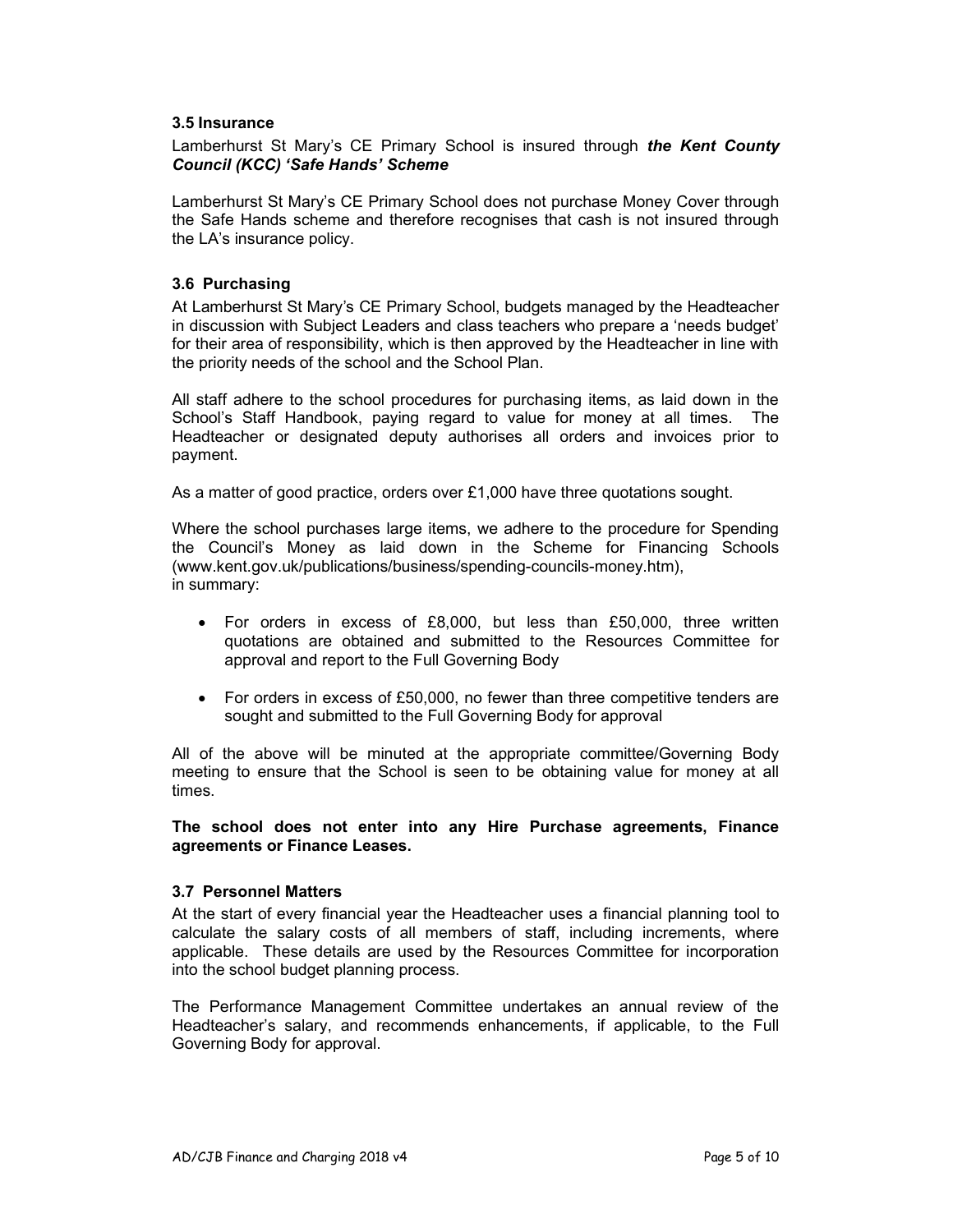#### 3.5 Insurance

#### Lamberhurst St Mary's CE Primary School is insured through the Kent County Council (KCC) 'Safe Hands' Scheme

Lamberhurst St Mary's CE Primary School does not purchase Money Cover through the Safe Hands scheme and therefore recognises that cash is not insured through the LA's insurance policy.

#### 3.6 Purchasing

At Lamberhurst St Mary's CE Primary School, budgets managed by the Headteacher in discussion with Subject Leaders and class teachers who prepare a 'needs budget' for their area of responsibility, which is then approved by the Headteacher in line with the priority needs of the school and the School Plan.

All staff adhere to the school procedures for purchasing items, as laid down in the School's Staff Handbook, paying regard to value for money at all times. The Headteacher or designated deputy authorises all orders and invoices prior to payment.

As a matter of good practice, orders over £1,000 have three quotations sought.

Where the school purchases large items, we adhere to the procedure for Spending the Council's Money as laid down in the Scheme for Financing Schools (www.kent.gov.uk/publications/business/spending-councils-money.htm), in summary:

- For orders in excess of £8,000, but less than £50,000, three written quotations are obtained and submitted to the Resources Committee for approval and report to the Full Governing Body
- For orders in excess of £50,000, no fewer than three competitive tenders are sought and submitted to the Full Governing Body for approval

All of the above will be minuted at the appropriate committee/Governing Body meeting to ensure that the School is seen to be obtaining value for money at all times.

The school does not enter into any Hire Purchase agreements, Finance agreements or Finance Leases.

#### 3.7 Personnel Matters

At the start of every financial year the Headteacher uses a financial planning tool to calculate the salary costs of all members of staff, including increments, where applicable. These details are used by the Resources Committee for incorporation into the school budget planning process.

The Performance Management Committee undertakes an annual review of the Headteacher's salary, and recommends enhancements, if applicable, to the Full Governing Body for approval.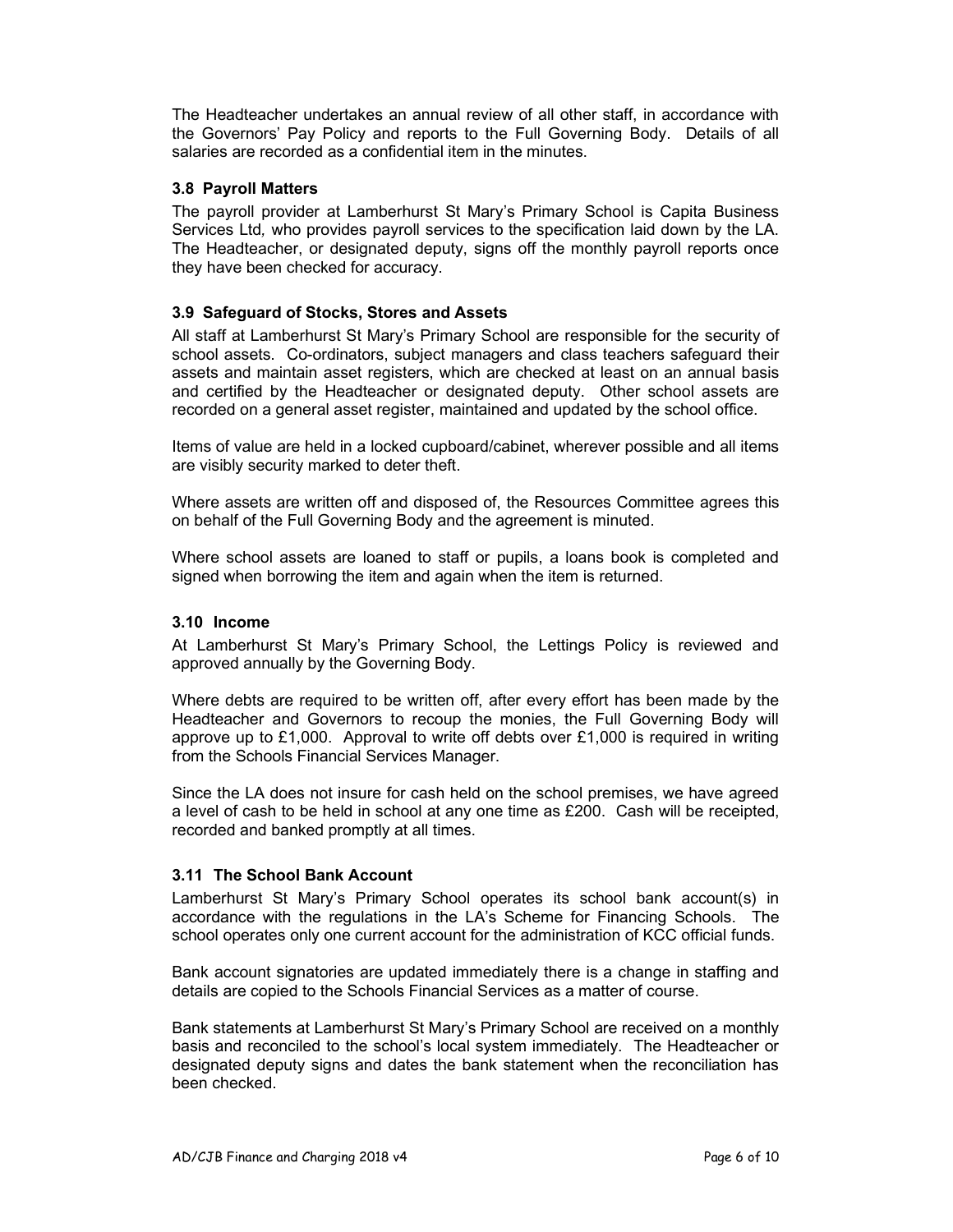The Headteacher undertakes an annual review of all other staff, in accordance with the Governors' Pay Policy and reports to the Full Governing Body. Details of all salaries are recorded as a confidential item in the minutes.

#### 3.8 Payroll Matters

The payroll provider at Lamberhurst St Mary's Primary School is Capita Business Services Ltd, who provides payroll services to the specification laid down by the LA. The Headteacher, or designated deputy, signs off the monthly payroll reports once they have been checked for accuracy.

#### 3.9 Safeguard of Stocks, Stores and Assets

All staff at Lamberhurst St Mary's Primary School are responsible for the security of school assets. Co-ordinators, subject managers and class teachers safeguard their assets and maintain asset registers, which are checked at least on an annual basis and certified by the Headteacher or designated deputy. Other school assets are recorded on a general asset register, maintained and updated by the school office.

Items of value are held in a locked cupboard/cabinet, wherever possible and all items are visibly security marked to deter theft.

Where assets are written off and disposed of, the Resources Committee agrees this on behalf of the Full Governing Body and the agreement is minuted.

Where school assets are loaned to staff or pupils, a loans book is completed and signed when borrowing the item and again when the item is returned.

#### 3.10 Income

At Lamberhurst St Mary's Primary School, the Lettings Policy is reviewed and approved annually by the Governing Body.

Where debts are required to be written off, after every effort has been made by the Headteacher and Governors to recoup the monies, the Full Governing Body will approve up to  $£1,000$ . Approval to write off debts over  $£1,000$  is required in writing from the Schools Financial Services Manager.

Since the LA does not insure for cash held on the school premises, we have agreed a level of cash to be held in school at any one time as £200. Cash will be receipted, recorded and banked promptly at all times.

#### 3.11 The School Bank Account

Lamberhurst St Mary's Primary School operates its school bank account(s) in accordance with the regulations in the LA's Scheme for Financing Schools. The school operates only one current account for the administration of KCC official funds.

Bank account signatories are updated immediately there is a change in staffing and details are copied to the Schools Financial Services as a matter of course.

Bank statements at Lamberhurst St Mary's Primary School are received on a monthly basis and reconciled to the school's local system immediately. The Headteacher or designated deputy signs and dates the bank statement when the reconciliation has been checked.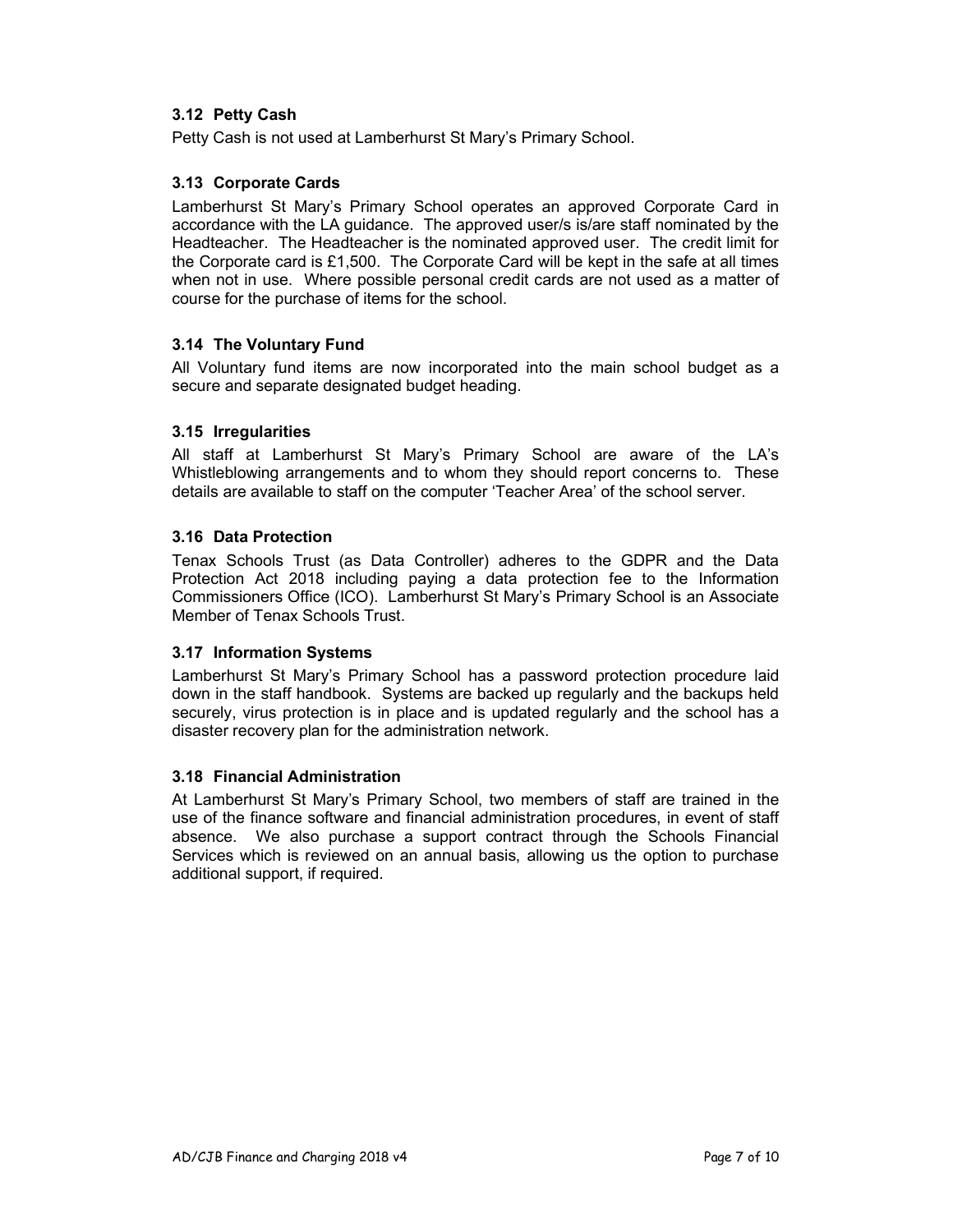#### 3.12 Petty Cash

Petty Cash is not used at Lamberhurst St Mary's Primary School.

#### 3.13 Corporate Cards

Lamberhurst St Mary's Primary School operates an approved Corporate Card in accordance with the LA guidance. The approved user/s is/are staff nominated by the Headteacher. The Headteacher is the nominated approved user. The credit limit for the Corporate card is £1,500. The Corporate Card will be kept in the safe at all times when not in use. Where possible personal credit cards are not used as a matter of course for the purchase of items for the school.

#### 3.14 The Voluntary Fund

All Voluntary fund items are now incorporated into the main school budget as a secure and separate designated budget heading.

#### 3.15 Irregularities

All staff at Lamberhurst St Mary's Primary School are aware of the LA's Whistleblowing arrangements and to whom they should report concerns to. These details are available to staff on the computer 'Teacher Area' of the school server.

#### 3.16 Data Protection

Tenax Schools Trust (as Data Controller) adheres to the GDPR and the Data Protection Act 2018 including paying a data protection fee to the Information Commissioners Office (ICO). Lamberhurst St Mary's Primary School is an Associate Member of Tenax Schools Trust.

#### 3.17 Information Systems

Lamberhurst St Mary's Primary School has a password protection procedure laid down in the staff handbook. Systems are backed up regularly and the backups held securely, virus protection is in place and is updated regularly and the school has a disaster recovery plan for the administration network.

#### 3.18 Financial Administration

At Lamberhurst St Mary's Primary School, two members of staff are trained in the use of the finance software and financial administration procedures, in event of staff absence. We also purchase a support contract through the Schools Financial Services which is reviewed on an annual basis, allowing us the option to purchase additional support, if required.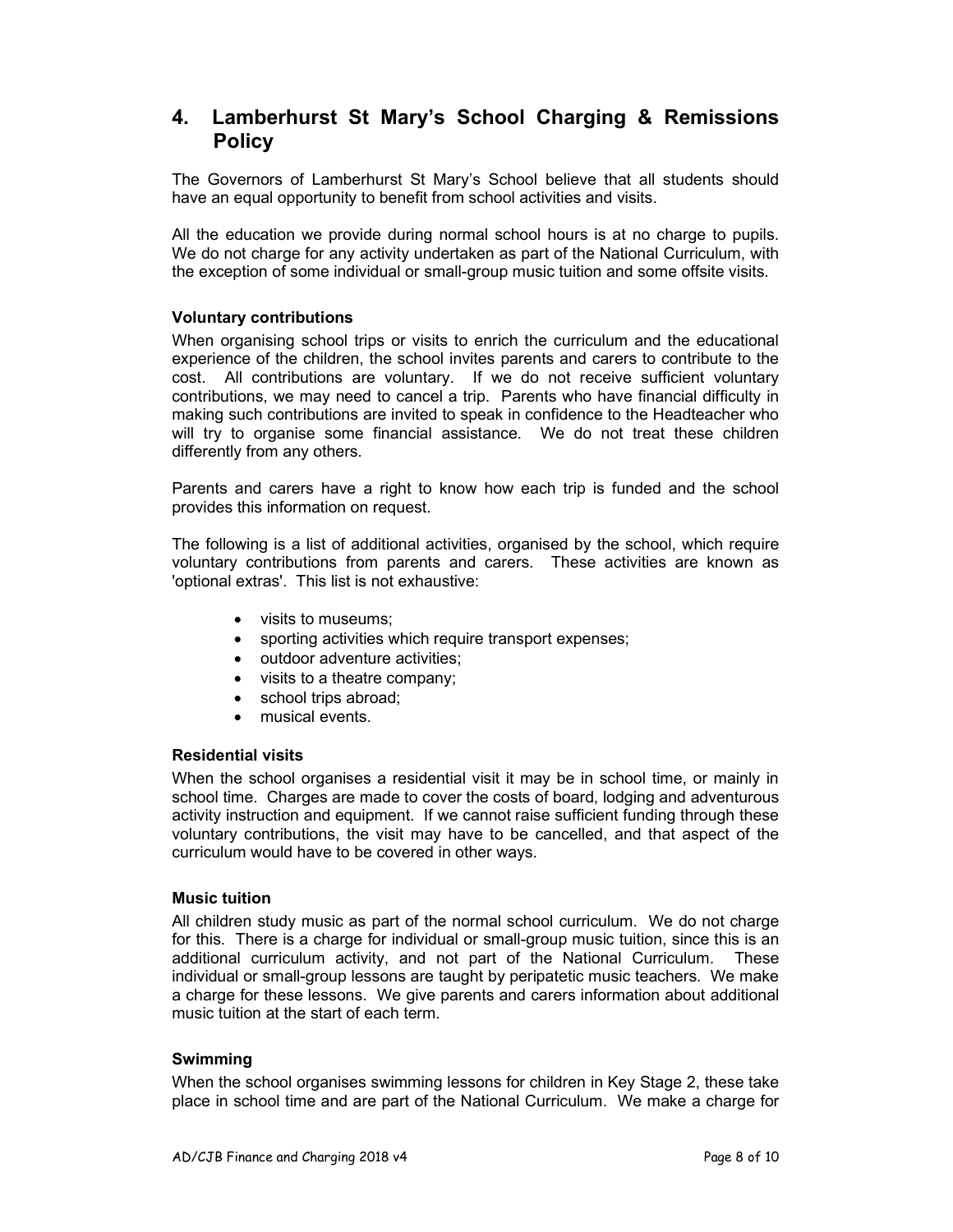## 4. Lamberhurst St Mary's School Charging & Remissions **Policy**

The Governors of Lamberhurst St Mary's School believe that all students should have an equal opportunity to benefit from school activities and visits.

All the education we provide during normal school hours is at no charge to pupils. We do not charge for any activity undertaken as part of the National Curriculum, with the exception of some individual or small-group music tuition and some offsite visits.

#### Voluntary contributions

When organising school trips or visits to enrich the curriculum and the educational experience of the children, the school invites parents and carers to contribute to the cost. All contributions are voluntary. If we do not receive sufficient voluntary contributions, we may need to cancel a trip. Parents who have financial difficulty in making such contributions are invited to speak in confidence to the Headteacher who will try to organise some financial assistance. We do not treat these children differently from any others.

Parents and carers have a right to know how each trip is funded and the school provides this information on request.

The following is a list of additional activities, organised by the school, which require voluntary contributions from parents and carers. These activities are known as 'optional extras'. This list is not exhaustive:

- visits to museums:
- sporting activities which require transport expenses;
- outdoor adventure activities;
- visits to a theatre company;
- school trips abroad;
- musical events.

#### Residential visits

When the school organises a residential visit it may be in school time, or mainly in school time. Charges are made to cover the costs of board, lodging and adventurous activity instruction and equipment. If we cannot raise sufficient funding through these voluntary contributions, the visit may have to be cancelled, and that aspect of the curriculum would have to be covered in other ways.

#### Music tuition

All children study music as part of the normal school curriculum. We do not charge for this. There is a charge for individual or small-group music tuition, since this is an additional curriculum activity, and not part of the National Curriculum. These individual or small-group lessons are taught by peripatetic music teachers. We make a charge for these lessons. We give parents and carers information about additional music tuition at the start of each term.

#### Swimming

When the school organises swimming lessons for children in Key Stage 2, these take place in school time and are part of the National Curriculum. We make a charge for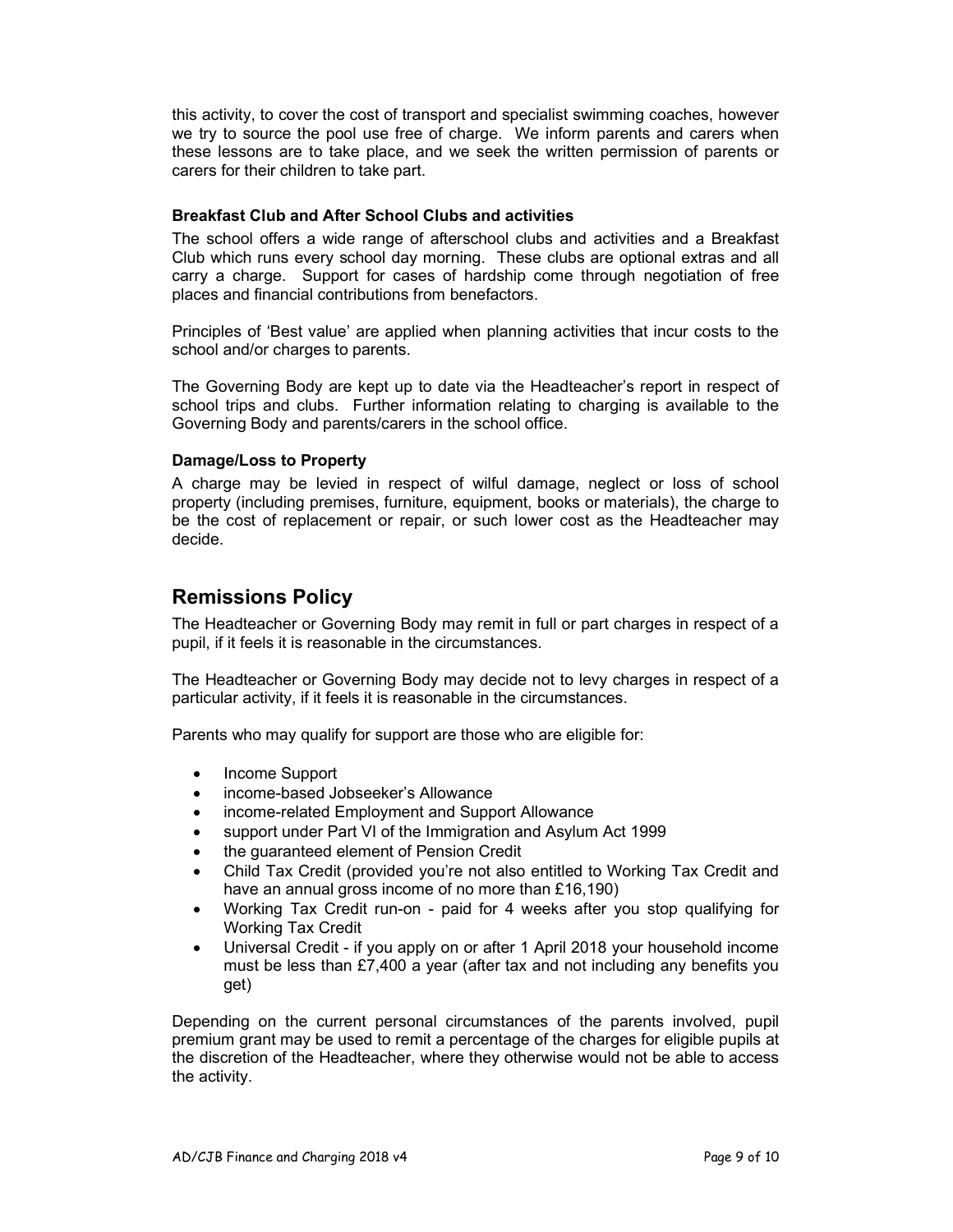this activity, to cover the cost of transport and specialist swimming coaches, however we try to source the pool use free of charge. We inform parents and carers when these lessons are to take place, and we seek the written permission of parents or carers for their children to take part.

#### Breakfast Club and After School Clubs and activities

The school offers a wide range of afterschool clubs and activities and a Breakfast Club which runs every school day morning. These clubs are optional extras and all carry a charge. Support for cases of hardship come through negotiation of free places and financial contributions from benefactors.

Principles of 'Best value' are applied when planning activities that incur costs to the school and/or charges to parents.

The Governing Body are kept up to date via the Headteacher's report in respect of school trips and clubs. Further information relating to charging is available to the Governing Body and parents/carers in the school office.

#### Damage/Loss to Property

A charge may be levied in respect of wilful damage, neglect or loss of school property (including premises, furniture, equipment, books or materials), the charge to be the cost of replacement or repair, or such lower cost as the Headteacher may decide.

## Remissions Policy

The Headteacher or Governing Body may remit in full or part charges in respect of a pupil, if it feels it is reasonable in the circumstances.

The Headteacher or Governing Body may decide not to levy charges in respect of a particular activity, if it feels it is reasonable in the circumstances.

Parents who may qualify for support are those who are eligible for:

- Income Support
- income-based Jobseeker's Allowance
- income-related Employment and Support Allowance
- support under Part VI of the Immigration and Asylum Act 1999
- the guaranteed element of Pension Credit
- Child Tax Credit (provided you're not also entitled to Working Tax Credit and have an annual gross income of no more than £16,190)
- Working Tax Credit run-on paid for 4 weeks after you stop qualifying for Working Tax Credit
- Universal Credit if you apply on or after 1 April 2018 your household income must be less than £7,400 a year (after tax and not including any benefits you get)

Depending on the current personal circumstances of the parents involved, pupil premium grant may be used to remit a percentage of the charges for eligible pupils at the discretion of the Headteacher, where they otherwise would not be able to access the activity.